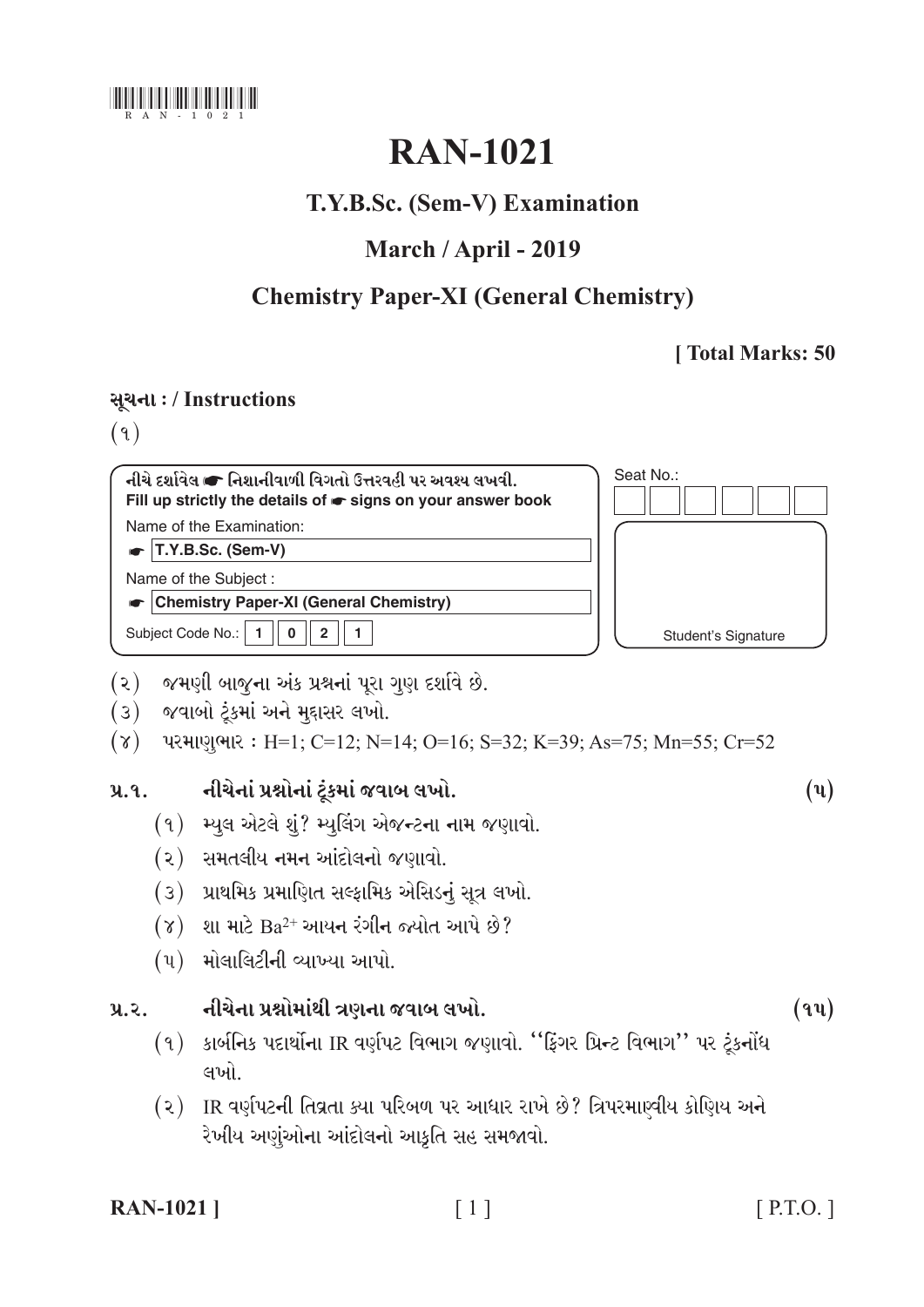

# **RAN-1021**

## T.Y.B.Sc. (Sem-V) Examination

## March / April - 2019

## **Chemistry Paper-XI (General Chemistry)**

## [Total Marks: 50

## સૂચના: / Instructions

 $(9)$ 

| નીચે દર્શાવેલ ☞ નિશાનીવાળી વિગતો ઉત્તરવહી પર અવશ્ય લખવી.<br>Fill up strictly the details of $\bullet$ signs on your answer book | Seat No.:           |
|---------------------------------------------------------------------------------------------------------------------------------|---------------------|
| Name of the Examination:                                                                                                        |                     |
| T.Y.B.Sc. (Sem-V)                                                                                                               |                     |
| Name of the Subject:                                                                                                            |                     |
| <b>Chemistry Paper-XI (General Chemistry)</b>                                                                                   |                     |
| Subject Code No.:<br>$\mathbf{c}$                                                                                               | Student's Signature |

- (૨) જમણી બાજુના અંક પ્રશ્નનાં પૂરા ગુણ દર્શાવે છે.
- (3) જવાબો ટૂંકમાં અને મુદ્દાસર લખો.
- $(\gamma)$  પરમાણુભાર: H=1; C=12; N=14; O=16; S=32; K=39; As=75; Mn=55; Cr=52

#### નીચેનાં પ્રશ્નોનાં ટુંકમાં જવાબ લખો.  $9.9.$

- (१) મ્યુલ એટલે શું? મ્યુલિંગ એજન્ટના નામ જણાવો.
- (૨) સમતલીય નમન આંદોલનો જણાવો.
- (3) પ્રાથમિક પ્રમાણિત સલ્ફામિક એસિડનું સૂત્ર લખો.
- $(8)$  શા માટે  $Ba^{2+}$  આયન રંગીન જ્યોત આપે છે?
- $(4)$  મોલાલિટીની વ્યાખ્યા આપો.

#### નીચેના પ્રશ્નોમાંથી ત્રણના જવાબ લખો.  $y_{\alpha}z_{\alpha}$

- (૧) કાર્બનિક પદાર્થોના IR વર્ણપટ વિભાગ જણાવો. "ફિંગર પ્રિન્ટ વિભાગ" પર ટૂંકનોંધ લખો
- (૨) IR વર્ણપટની તિવ્રતા ક્યા પરિબળ પર આધાર રાખે છે? ત્રિપરમાણ્વીય કોણિય અને રેખીય અણુંઓના આંદોલનો આકૃતિ સહ સમજાવો.

| <b>RAN-1021</b> ] |  |
|-------------------|--|
|-------------------|--|

 $(\mathbf{u})$ 

 $(9y)$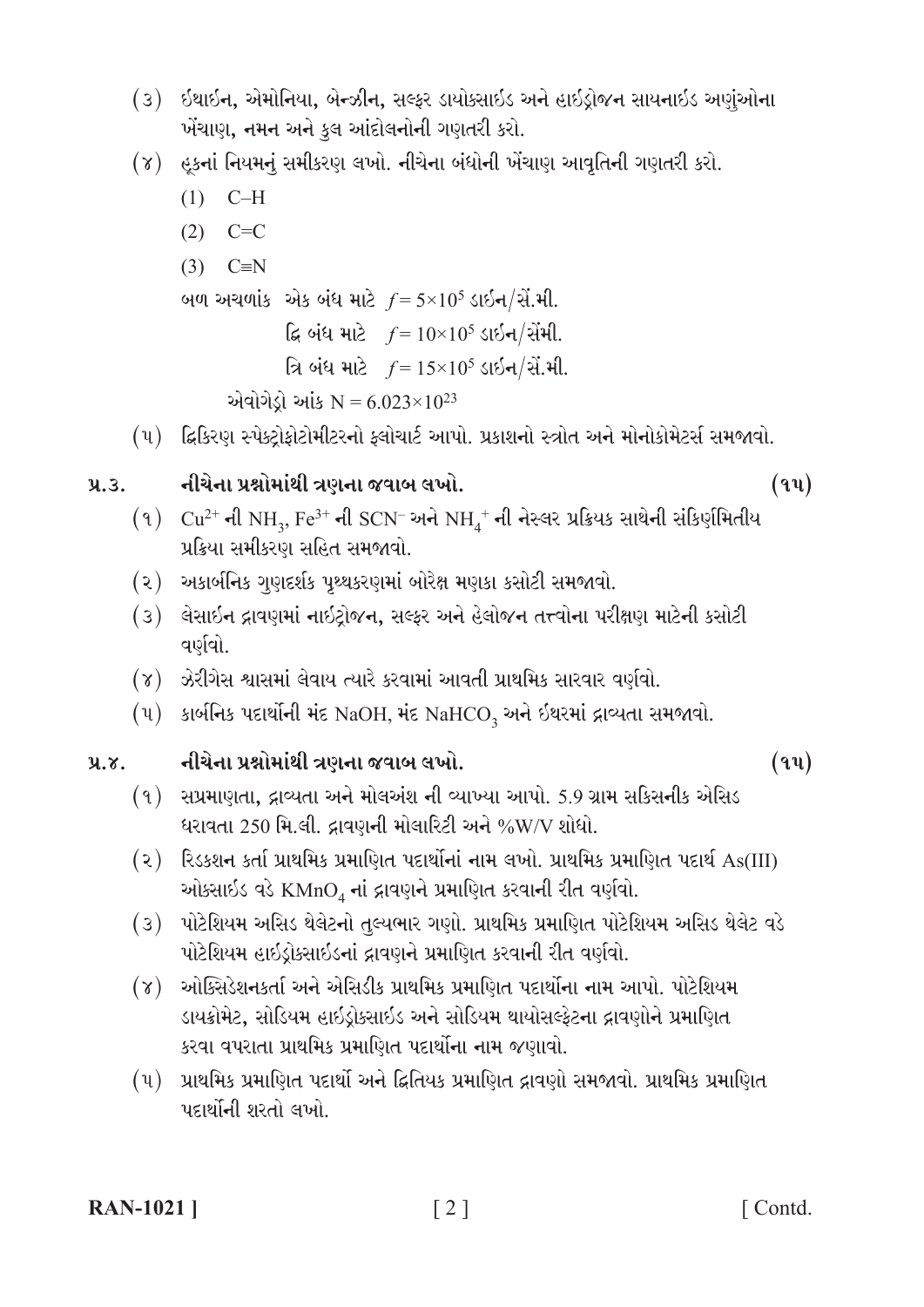- (3) ઇથાઇન, એમોનિયા, બેન્ઝીન, સલ્ફર ડાયોક્સાઇડ અને હાઇડ્રોજન સાયનાઇડ અણુંઓના ખેંચાણ, નમન અને કુલ આંદોલનોની ગણતરી કરો.
- (૪) હકનાં નિયમનું સમીકરણ લખો. નીચેના બંધોની ખેંચાણ આવૃતિની ગણતરી કરો.
	- $(1)$  C-H
	- $(2)$  C=C
	- $(3)$  C=N

બળ અચળાંક એક બંધ માટે  $f = 5 \times 10^5$  ડાઇન/સેં.મી.

ફિ બંધ માટે  $f = 10 \times 10^5$  ડાઇન/સેંમી.

```
ત્રિ બંધ માટે f = 15 \times 10^5 ડાઇન/સેં.મી.
```

```
એવોગેડ્રો આંક N = 6.023 \times 10^{23}
```
(૫) દ્વિકિરણ સ્પેક્ટ્રોફોટોમીટરનો ફ્લોચાર્ટ આપો. પ્રકાશનો સ્ત્રોત અને મોનોકોમેટર્સ સમજાવો.

#### નીચેના પ્રશ્નોમાંથી ત્રણના જવાબ લખો.  $9.3.$

 $(9)$   $Cu^{2+}$  ની NH<sub>3</sub>, Fe<sup>3+</sup> ની SCN<sup>-</sup> અને NH<sub>4</sub><sup>+</sup> ની નેસ્લર પ્રક્રિયક સાથેની સંકિર્ણમિતીય પ્રક્રિયા સમીકરણ સહિત સમજાવો.

- (૨) અકાર્બનિક ગુણદર્શક પૃથ્થકરણમાં બોરેક્ષ મણકા કસોટી સમજાવો.
- (૩) લેસાઇન દ્રાવણમાં નાઇટ્રોજન, સલ્ફર અને હેલોજન તત્ત્વોના પરીક્ષણ માટેની કસોટી વર્ણવો.
- (૪) ઝેરીગેસ શ્વાસમાં લેવાય ત્યારે કરવામાં આવતી પ્રાથમિક સારવાર વર્ણવો.
- $(\mathfrak{u})$  sieflas uzieilal iz NaOH, iz NaHCO<sub>3</sub> અને ઈથરમાં દ્રાવ્યતા સમજાવો.

નીચેના પ્રશ્નોમાંથી ત્રણના જવાબ લખો.  $9.8.$ 

- $(9)$  સપ્રમાણતા, દ્રાવ્યતા અને મોલઅંશ ની વ્યાખ્યા આપો. 5.9 ગ્રામ સકિસનીક એસિડ ધરાવતા 250 મિ.લી. દ્રાવણની મોલારિટી અને %W/V શોધો.
- (૨) રિડકશન કર્તા પ્રાથમિક પ્રમાણિત પદાર્થોનાં નામ લખો. પ્રાથમિક પ્રમાણિત પદાર્થ As(III) ઓકસાઇડ વડે KMnO, નાં દ્રાવણને પ્રમાણિત કરવાની રીત વર્ણવો.
- (૩) પોટેશિયમ અસિડ થેલેટનો તુલ્યભાર ગણો. પ્રાથમિક પ્રમાણિત પોટેશિયમ અસિડ થેલેટ વડે પોટેશિયમ હાઇડ્રોક્સાઇડનાં દ્રાવણને પ્રમાણિત કરવાની રીત વર્ણવો.
- (૪) ઓક્સિડેશનકર્તા અને એસિડીક પ્રાથમિક પ્રમાણિત પદાર્થોના નામ આપો. પોટેશિયમ ડાયક્રોમેટ, સોડિયમ હાઇડ્રોક્સાઇડ અને સોડિયમ થાયોસલ્ફેટના દ્રાવણોને પ્રમાણિત કરવા વપરાતા પ્રાથમિક પ્રમાણિત પદાર્થોના નામ જણાવો.
- (૫) પ્રાથમિક પ્રમાણિત પદાર્થો અને દ્વિતિયક પ્રમાણિત દ્રાવણો સમજાવો. પ્રાથમિક પ્રમાણિત પદાર્થોની શરતો લખો.

 $(9y)$ 

 $(94)$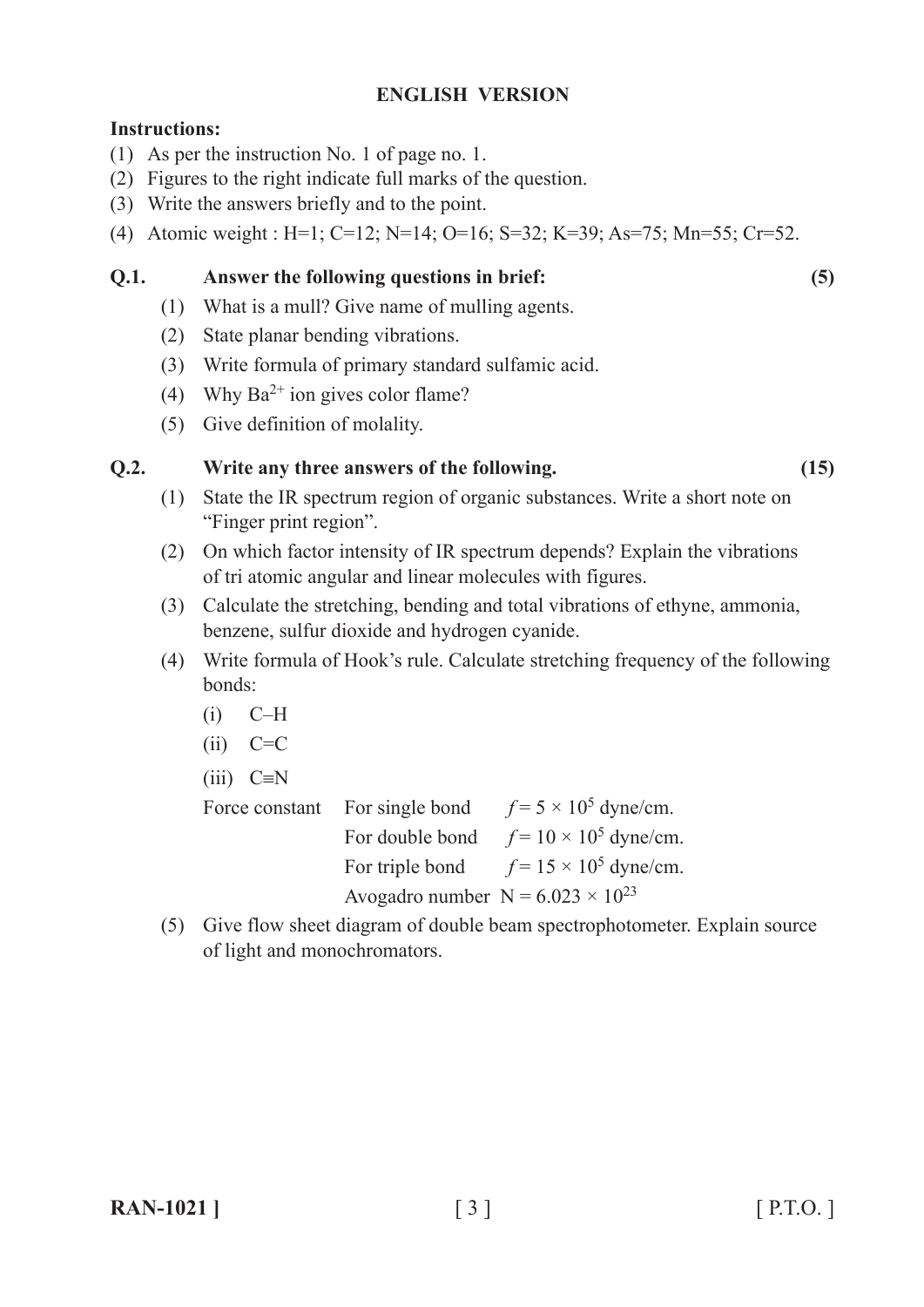## **ENGLISH VERSION**

### **Instructions:**

- (1) As per the instruction No. 1 of page no. 1.
- (2) Figures to the right indicate full marks of the question.
- (3) Write the answers briefly and to the point.
- (4) Atomic weight : H=1; C=12; N=14; O=16; S=32; K=39; As=75; Mn=55; Cr=52.

## **Q.1. Answer the following questions in brief: (5)**

- (1) What is a mull? Give name of mulling agents.
- (2) State planar bending vibrations.
- (3) Write formula of primary standard sulfamic acid.
- (4) Why  $Ba^{2+}$  ion gives color flame?
- (5) Give definition of molality.

### **Q.2. Write any three answers of the following. (15)**

- (1) State the IR spectrum region of organic substances. Write a short note on "Finger print region".
- (2) On which factor intensity of IR spectrum depends? Explain the vibrations of tri atomic angular and linear molecules with figures.
- (3) Calculate the stretching, bending and total vibrations of ethyne, ammonia, benzene, sulfur dioxide and hydrogen cyanide.
- (4) Write formula of Hook's rule. Calculate stretching frequency of the following bonds:
	- $(i)$  C–H
	- $(ii)$   $C=C$
	- $(iii)$  C $\equiv$ N

Force constant For single bond  $f = 5 \times 10^5$  dyne/cm. For double bond  $f = 10 \times 10^5$  dyne/cm. For triple bond  $f = 15 \times 10^5$  dyne/cm. Avogadro number  $N = 6.023 \times 10^{23}$ 

(5) Give flow sheet diagram of double beam spectrophotometer. Explain source of light and monochromators.